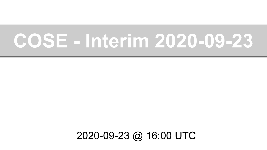# **COSE - Interim 2020-09-23**

#### 2020-09-23 @ 16:00 UTC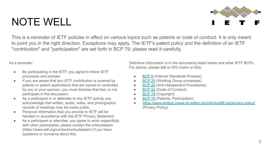$\mathfrak{D}$ 

### NOTE WELL

This is a reminder of IETF policies in effect on various topics such as patents or code of conduct. It is only meant to point you in the right direction. Exceptions may apply. The IETF's patent policy and the definition of an IETF "contribution" and "participation" are set forth in BCP 79; please read it carefully.

As a reminder:

- By participating in the IETF, you agree to follow IETF processes and policies.
- If you are aware that any IETF contribution is covered by patents or patent applications that are owned or controlled by you or your sponsor, you must disclose that fact, or not participate in the discussion.
- As a participant in or attendee to any IETF activity you acknowledge that written, audio, video, and photographic records of meetings may be made public.
- Personal information that you provide to IETF will be handled in accordance with the IETF Privacy Statement.
- As a participant or attendee, you agree to work respectfully with other participants; please contact the ombudsteam (https://www.ietf.org/contact/ombudsteam/) if you have questions or concerns about this.

Definitive information is in the documents listed below and other IETF BCPs. For advice, please talk to WG chairs or ADs:

- **[BCP 9](https://www.rfc-editor.org/info/bcp9) (Internet Standards Process)**
- **[BCP 25](https://www.rfc-editor.org/info/bcp25) (Working Group processes)**
- **[BCP 25](https://www.rfc-editor.org/info/bcp25) (Anti-Harassment Procedures)**
- [BCP 54](https://www.rfc-editor.org/info/bcp54) (Code of Conduct)
- [BCP 78](https://www.rfc-editor.org/info/bcp78) (Copyright)
- [BCP 79](https://www.rfc-editor.org/info/bcp79) (Patents, Participation)
- [https://www.iehttps://www.rfc-editor.org/info/bcp9tf.org/privacy-policy/](https://www.ietf.org/privacy-policy/) (Privacy Policy)

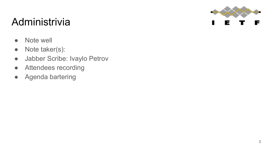

#### Administrivia

- Note well
- Note taker(s):
- Jabber Scribe: Ivaylo Petrov
- Attendees recording
- Agenda bartering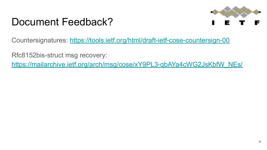### Document Feedback?



Countersignatures:<https://tools.ietf.org/html/draft-ietf-cose-countersign-00>

Rfc8152bis-struct msg recovery:

[https://mailarchive.ietf.org/arch/msg/cose/xY9PL3-qbAYa4cWG2JsKbfW\\_NEs/](https://mailarchive.ietf.org/arch/msg/cose/xY9PL3-qbAYa4cWG2JsKbfW_NEs/)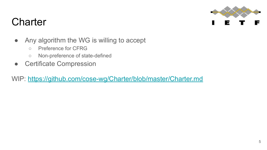

### **Charter**

- Any algorithm the WG is willing to accept
	- Preference for CFRG
	- Non-preference of state-defined
- Certificate Compression

WIP:<https://github.com/cose-wg/Charter/blob/master/Charter.md>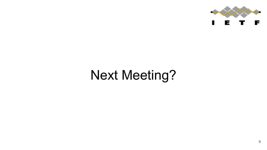

# Next Meeting?